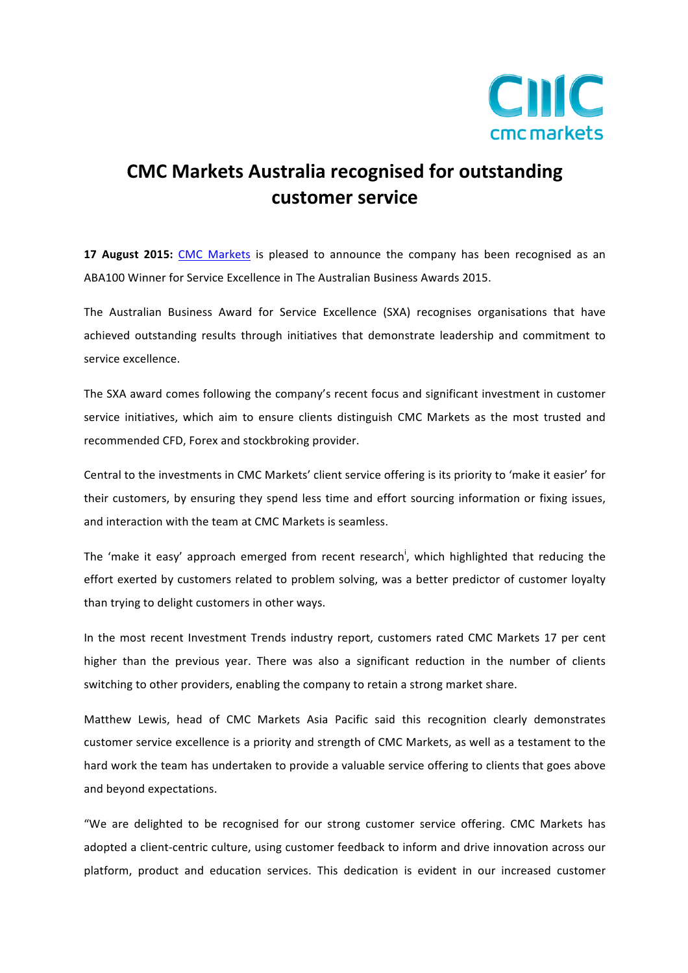

## **CMC Markets Australia recognised for outstanding customer!service!**

**17 August 2015:** CMC Markets is pleased to announce the company has been recognised as an ABA100 Winner for Service Excellence in The Australian Business Awards 2015.

The Australian Business Award for Service Excellence (SXA) recognises organisations that have achieved outstanding results through initiatives that demonstrate leadership and commitment to service excellence.

The SXA award comes following the company's recent focus and significant investment in customer service initiatives, which aim to ensure clients distinguish CMC Markets as the most trusted and recommended CFD, Forex and stockbroking provider.

Central to the investments in CMC Markets' client service offering is its priority to 'make it easier' for their customers, by ensuring they spend less time and effort sourcing information or fixing issues, and interaction with the team at CMC Markets is seamless.

The 'make it easy' approach emerged from recent research<sup>i</sup>, which highlighted that reducing the effort exerted by customers related to problem solving, was a better predictor of customer loyalty than trying to delight customers in other ways.

In the most recent Investment Trends industry report, customers rated CMC Markets 17 per cent higher than the previous year. There was also a significant reduction in the number of clients switching to other providers, enabling the company to retain a strong market share.

Matthew Lewis, head of CMC Markets Asia Pacific said this recognition clearly demonstrates customer service excellence is a priority and strength of CMC Markets, as well as a testament to the hard work the team has undertaken to provide a valuable service offering to clients that goes above and beyond expectations.

"We are delighted to be recognised for our strong customer service offering. CMC Markets has adopted a client-centric culture, using customer feedback to inform and drive innovation across our platform, product and education services. This dedication is evident in our increased customer